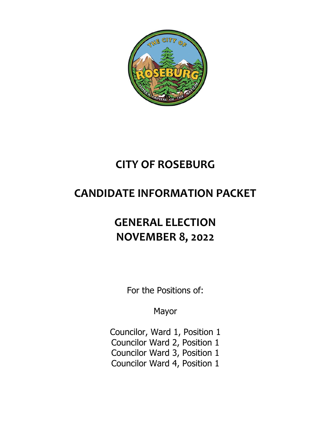

# **CITY OF ROSEBURG**

# **CANDIDATE INFORMATION PACKET**

# **GENERAL ELECTION NOVEMBER 8, 2022**

For the Positions of:

Mayor

Councilor, Ward 1, Position 1 Councilor Ward 2, Position 1 Councilor Ward 3, Position 1 Councilor Ward 4, Position 1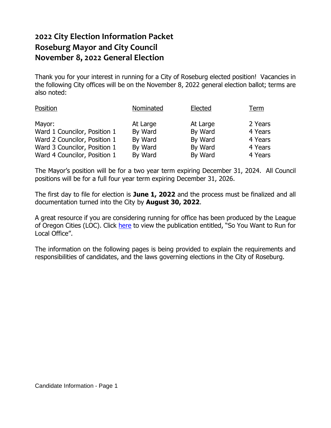## **2022 City Election Information Packet Roseburg Mayor and City Council November 8, 2022 General Election**

Thank you for your interest in running for a City of Roseburg elected position! Vacancies in the following City offices will be on the November 8, 2022 general election ballot; terms are also noted:

| Position                     | Nominated | Elected  | Term    |
|------------------------------|-----------|----------|---------|
| Mayor:                       | At Large  | At Large | 2 Years |
| Ward 1 Councilor, Position 1 | By Ward   | By Ward  | 4 Years |
| Ward 2 Councilor, Position 1 | By Ward   | By Ward  | 4 Years |
| Ward 3 Councilor, Position 1 | By Ward   | By Ward  | 4 Years |
| Ward 4 Councilor, Position 1 | By Ward   | By Ward  | 4 Years |

The Mayor's position will be for a two year term expiring December 31, 2024. All Council positions will be for a full four year term expiring December 31, 2026.

The first day to file for election is **June 1, 2022** and the process must be finalized and all documentation turned into the City by **August 30, 2022**.

A great resource if you are considering running for office has been produced by the League of Oregon Cities (LOC). Click [here](https://www.orcities.org/application/files/4315/8654/4365/SoYouWanttoRunforLocalOfficeFINAL4-9-20.pdf) to view the publication entitled, "So You Want to Run for Local Office".

The information on the following pages is being provided to explain the requirements and responsibilities of candidates, and the laws governing elections in the City of Roseburg.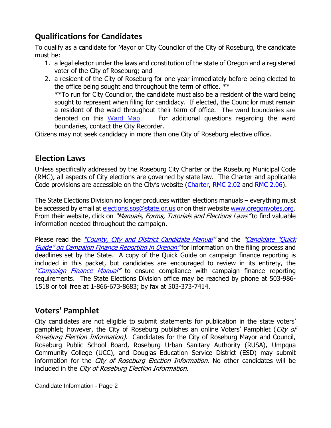# **Qualifications for Candidates**

To qualify as a candidate for Mayor or City Councilor of the City of Roseburg, the candidate must be:

- 1. a legal elector under the laws and constitution of the state of Oregon and a registered voter of the City of Roseburg; and
- 2. a resident of the City of Roseburg for one year immediately before being elected to the office being sought and throughout the term of office. \*\* \*\*To run for City Councilor, the candidate must also be a resident of the ward being sought to represent when filing for candidacy. If elected, the Councilor must remain a resident of the ward throughout their term of office. The ward boundaries are denoted on this [Ward Map](https://www.cityofroseburg.org/storage/app/media/Council/2022%20Ward%20Map.pdf). For additional questions regarding the ward boundaries, contact the City Recorder.

Citizens may not seek candidacy in more than one City of Roseburg elective office.

#### **Election Laws**

Unless specifically addressed by the Roseburg City Charter or the Roseburg Municipal Code (RMC), all aspects of City elections are governed by state law. The Charter and applicable Code provisions are accessible on the City's website ([Charter,](https://library.municode.com/or/roseburg/codes/code_of_ordinances?nodeId=ROCH) [RMC 2.02](https://library.municode.com/or/roseburg/codes/code_of_ordinances?nodeId=TIT2GOPR_CH2.02NOELAPCAELOF) and [RMC 2.06\)](https://library.municode.com/or/roseburg/codes/code_of_ordinances?nodeId=TIT2GOPR_CH2.06INRE).

The State Elections Division no longer produces written elections manuals – everything must be accessed by email at [elections.sos@state.or.us](mailto:elections.sos@state.or.us) or on their website [www.oregonvotes.org.](http://www.oregonvotes.org/) From their website, click on "*Manuals, Forms, Tutorials and Elections Laws*" to find valuable information needed throughout the campaign.

Please read the "[County, City and District](https://sos.oregon.gov/elections/Documents/county-city-district-candidates.pdf) [Candidate](https://sos.oregon.gov/elections/Documents/candidatequickguide.pdf) Manual" and the "Candidate "Quick Guide" [on Campaign Finance Reporting in Oregon"](https://sos.oregon.gov/elections/Documents/candidatequickguide.pdf) for information on the filing process and deadlines set by the State. A copy of the Quick Guide on campaign finance reporting is included in this packet, but candidates are encouraged to review in its entirety, the "[Campaign Finance Manual](https://sos.oregon.gov/elections/Documents/campaign-finance.pdf)" to ensure compliance with campaign finance reporting requirements. The State Elections Division office may be reached by phone at 503-986- 1518 or toll free at 1-866-673-8683; by fax at 503-373-7414.

## **Voters' Pamphlet**

City candidates are not eligible to submit statements for publication in the state voters' pamphlet; however, the City of Roseburg publishes an online Voters' Pamphlet (City of Roseburg Election Information). Candidates for the City of Roseburg Mayor and Council, Roseburg Public School Board, Roseburg Urban Sanitary Authority (RUSA), Umpqua Community College (UCC), and Douglas Education Service District (ESD) may submit information for the *City of Roseburg Election Information*. No other candidates will be included in the City of Roseburg Election Information.

Candidate Information - Page 2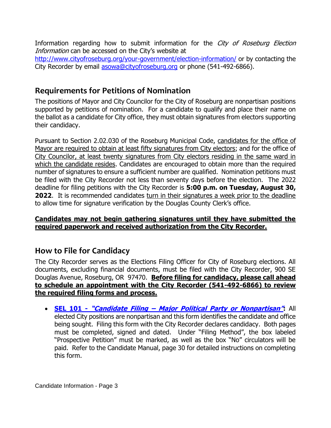Information regarding how to submit information for the City of Roseburg Election Information can be accessed on the City's website at

<http://www.cityofroseburg.org/your-government/election-information/> or by contacting the City Recorder by email [asowa@cityofroseburg.org](mailto:asowa@cityofroseburg.org) or phone (541-492-6866).

#### **Requirements for Petitions of Nomination**

The positions of Mayor and City Councilor for the City of Roseburg are nonpartisan positions supported by petitions of nomination. For a candidate to qualify and place their name on the ballot as a candidate for City office, they must obtain signatures from electors supporting their candidacy.

Pursuant to Section 2.02.030 of the Roseburg Municipal Code, candidates for the office of Mayor are required to obtain at least fifty signatures from City electors; and for the office of City Councilor, at least twenty signatures from City electors residing in the same ward in which the candidate resides. Candidates are encouraged to obtain more than the required number of signatures to ensure a sufficient number are qualified. Nomination petitions must be filed with the City Recorder not less than seventy days before the election. The 2022 deadline for filing petitions with the City Recorder is **5:00 p.m. on Tuesday, August 30, 2022**. It is recommended candidates turn in their signatures a week prior to the deadline to allow time for signature verification by the Douglas County Clerk's office.

#### **Candidates may not begin gathering signatures until they have submitted the required paperwork and received authorization from the City Recorder.**

#### **How to File for Candidacy**

The City Recorder serves as the Elections Filing Officer for City of Roseburg elections. All documents, excluding financial documents, must be filed with the City Recorder, 900 SE Douglas Avenue, Roseburg, OR 97470. **Before filing for candidacy, please call ahead to schedule an appointment with the City Recorder (541-492-6866) to review the required filing forms and process.** 

 **SEL 101 - "Candidate Filing – [Major Political Party or Nonpartisan](https://sos.oregon.gov/elections/Documents/SEL101.pdf)":** All elected City positions are nonpartisan and this form identifies the candidate and office being sought. Filing this form with the City Recorder declares candidacy. Both pages must be completed, signed and dated. Under "Filing Method", the box labeled "Prospective Petition" must be marked, as well as the box "No" circulators will be paid. Refer to the Candidate Manual, page 30 for detailed instructions on completing this form.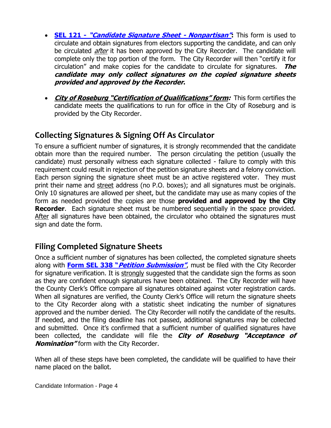- **SEL 121 - "[Candidate Signature Sheet -](https://sos.oregon.gov/elections/Documents/SEL121.pdf) Nonpartisan":** This form is used to circulate and obtain signatures from electors supporting the candidate, and can only be circulated *after* it has been approved by the City Recorder. The candidate will complete only the top portion of the form. The City Recorder will then "certify it for circulation" and make copies for the candidate to circulate for signatures. **The candidate may only collect signatures on the copied signature sheets provided and approved by the Recorder.**
- **City of Roseburg "Certification of Qualifications" form:** This form certifies the candidate meets the qualifications to run for office in the City of Roseburg and is provided by the City Recorder.

### **Collecting Signatures & Signing Off As Circulator**

To ensure a sufficient number of signatures, it is strongly recommended that the candidate obtain more than the required number. The person circulating the petition (usually the candidate) must personally witness each signature collected - failure to comply with this requirement could result in rejection of the petition signature sheets and a felony conviction. Each person signing the signature sheet must be an active registered voter. They must print their name and street address (no P.O. boxes); and all signatures must be originals. Only 10 signatures are allowed per sheet, but the candidate may use as many copies of the form as needed provided the copies are those **provided and approved by the City Recorder.** Each signature sheet must be numbered sequentially in the space provided. After all signatures have been obtained, the circulator who obtained the signatures must sign and date the form.

#### **Filing Completed Signature Sheets**

Once a sufficient number of signatures has been collected, the completed signature sheets along with **Form SEL 338 "[Petition Submission](https://sos.oregon.gov/elections/Documents/SEL338.pdf)"**, must be filed with the City Recorder for signature verification. It is strongly suggested that the candidate sign the forms as soon as they are confident enough signatures have been obtained. The City Recorder will have the County Clerk's Office compare all signatures obtained against voter registration cards. When all signatures are verified, the County Clerk's Office will return the signature sheets to the City Recorder along with a statistic sheet indicating the number of signatures approved and the number denied. The City Recorder will notify the candidate of the results. If needed, and the filing deadline has not passed, additional signatures may be collected and submitted. Once it's confirmed that a sufficient number of qualified signatures have been collected, the candidate will file the **City of Roseburg "Acceptance of Nomination"** form with the City Recorder.

When all of these steps have been completed, the candidate will be qualified to have their name placed on the ballot.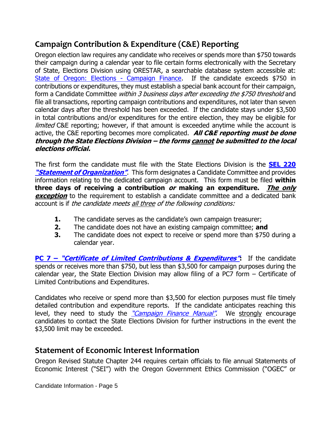# **Campaign Contribution & Expenditure (C&E) Reporting**

Oregon election law requires any candidate who receives or spends more than \$750 towards their campaign during a calendar year to file certain forms electronically with the Secretary of State, Elections Division using ORESTAR, a searchable database system accessible at: [State of Oregon: Elections -](https://sos.oregon.gov/elections/Pages/orestar.aspx) Campaign Finance. If the candidate exceeds \$750 in contributions or expenditures, they must establish a special bank account for their campaign, form a Candidate Committee within 3 business days after exceeding the \$750 threshold and file all transactions, reporting campaign contributions and expenditures, not later than seven calendar days after the threshold has been exceeded. If the candidate stays under \$3,500 in total contributions and/or expenditures for the entire election, they may be eligible for limited C&E reporting; however, if that amount is exceeded anytime while the account is active, the C&E reporting becomes more complicated. **All C&E reporting must be done through the State Elections Division – the forms cannot be submitted to the local elections official.**

The first form the candidate must file with the State Elections Division is the **[SEL 220](https://sos.oregon.gov/elections/Documents/SEL220.pdf)  ["Statement of Organization"](https://sos.oregon.gov/elections/Documents/SEL220.pdf)**. This form designates a Candidate Committee and provides information relating to the dedicated campaign account. This form must be filed **within three days of receiving a contribution or making an expenditure. The only exception** to the requirement to establish a candidate committee and a dedicated bank account is if the candidate meets all three of the following conditions:

- **1.** The candidate serves as the candidate's own campaign treasurer;
- **2.** The candidate does not have an existing campaign committee; **and**
- **3.** The candidate does not expect to receive or spend more than \$750 during a calendar year.

**PC 7 – "[Certificate of Limited Contributions & Expenditures](https://sos.oregon.gov/elections/Documents/PC7.pdf)":** If the candidate spends or receives more than \$750, but less than \$3,500 for campaign purposes during the calendar year, the State Election Division may allow filing of a PC7 form – Certificate of Limited Contributions and Expenditures.

Candidates who receive or spend more than \$3,500 for election purposes must file timely detailed contribution and expenditure reports. If the candidate anticipates reaching this level, they need to study the ["Campaign Finance Manual"](https://sos.oregon.gov/elections/Documents/campaign-finance.pdf). We strongly encourage candidates to contact the State Elections Division for further instructions in the event the \$3,500 limit may be exceeded.

#### **Statement of Economic Interest Information**

Oregon Revised Statute Chapter 244 requires certain officials to file annual Statements of Economic Interest ("SEI") with the Oregon Government Ethics Commission ("OGEC" or